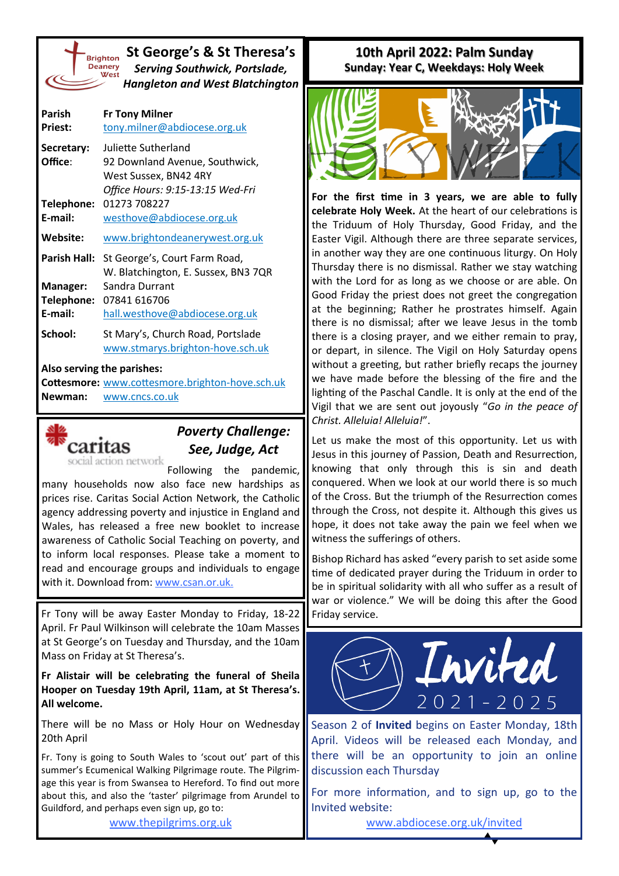

**St George's & St Theresa's** *Serving Southwick, Portslade, Hangleton and West Blatchington*

| Parish<br><b>Priest:</b>                 | <b>Fr Tony Milner</b><br>tony.milner@abdiocese.org.uk                                                              |
|------------------------------------------|--------------------------------------------------------------------------------------------------------------------|
| Secretary:<br>Office:                    | Juliette Sutherland<br>92 Downland Avenue, Southwick,<br>West Sussex, BN42 4RY<br>Office Hours: 9:15-13:15 Wed-Fri |
| Telephone:<br>E-mail:                    | 01273 708227<br>westhove@abdiocese.org.uk                                                                          |
| Website:                                 | www.brightondeanerywest.org.uk                                                                                     |
| Parish Hall:                             | St George's, Court Farm Road,<br>W. Blatchington, E. Sussex, BN3 7QR                                               |
| <b>Manager:</b><br>Telephone:<br>E-mail: | Sandra Durrant<br>07841 616706<br>hall.westhove@abdiocese.org.uk                                                   |
| School:                                  | St Mary's, Church Road, Portslade<br>www.stmarys.brighton-hove.sch.uk                                              |

## **Also serving the parishes:**

**Cottesmore:** [www.cottesmore.brighton](http://www.cottesmore.brighton-hove.sch.uk)-hove.sch.uk **Newman:** [www.cncs.co.uk](https://www.cncs.co.uk/)



## *Poverty Challenge: See, Judge, Act*

Following the pandemic, many households now also face new hardships as prices rise. Caritas Social Action Network, the Catholic agency addressing poverty and injustice in England and Wales, has released a free new booklet to increase awareness of Catholic Social Teaching on poverty, and to inform local responses. Please take a moment to read and encourage groups and individuals to engage with it. Download from: [www.csan.or.uk.](http://www.csan.or.uk)

Fr Tony will be away Easter Monday to Friday, 18-22 April. Fr Paul Wilkinson will celebrate the 10am Masses at St George's on Tuesday and Thursday, and the 10am Mass on Friday at St Theresa's.

**Fr Alistair will be celebrating the funeral of Sheila Hooper on Tuesday 19th April, 11am, at St Theresa's. All welcome.**

There will be no Mass or Holy Hour on Wednesday 20th April

Fr. Tony is going to South Wales to 'scout out' part of this summer's Ecumenical Walking Pilgrimage route. The Pilgrimage this year is from Swansea to Hereford. To find out more about this, and also the 'taster' pilgrimage from Arundel to Guildford, and perhaps even sign up, go to:

[www.thepilgrims.org.uk](http://www.thepilgrims.org.uk)

## **10th April 2022: Palm Sunday Sunday: Year C, Weekdays: Holy Week**



**For the first time in 3 years, we are able to fully celebrate Holy Week.** At the heart of our celebrations is the Triduum of Holy Thursday, Good Friday, and the Easter Vigil. Although there are three separate services, in another way they are one continuous liturgy. On Holy Thursday there is no dismissal. Rather we stay watching with the Lord for as long as we choose or are able. On Good Friday the priest does not greet the congregation at the beginning; Rather he prostrates himself. Again there is no dismissal; after we leave Jesus in the tomb there is a closing prayer, and we either remain to pray, or depart, in silence. The Vigil on Holy Saturday opens without a greeting, but rather briefly recaps the journey we have made before the blessing of the fire and the lighting of the Paschal Candle. It is only at the end of the Vigil that we are sent out joyously "*Go in the peace of Christ. Alleluia! Alleluia!*".

Let us make the most of this opportunity. Let us with Jesus in this journey of Passion, Death and Resurrection, knowing that only through this is sin and death conquered. When we look at our world there is so much of the Cross. But the triumph of the Resurrection comes through the Cross, not despite it. Although this gives us hope, it does not take away the pain we feel when we witness the sufferings of others.

Bishop Richard has asked "every parish to set aside some time of dedicated prayer during the Triduum in order to be in spiritual solidarity with all who suffer as a result of war or violence." We will be doing this after the Good Friday service.



Season 2 of **Invited** begins on Easter Monday, 18th April. Videos will be released each Monday, and there will be an opportunity to join an online discussion each Thursday

For more information, and to sign up, go to the Invited website:

[www.abdiocese.org.uk/invited](https://www.abdiocese.org.uk/invited)